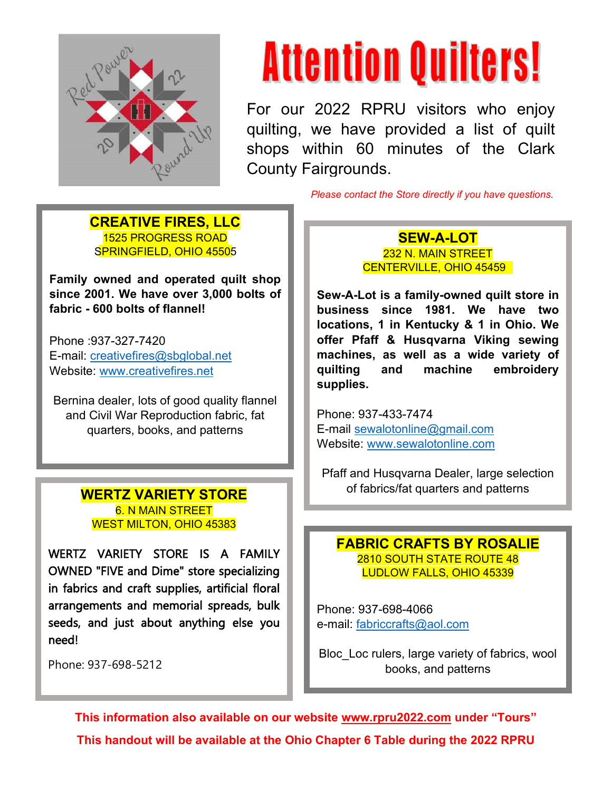

## **Attention Quilters!**

For our 2022 RPRU visitors who enjoy quilting, we have provided a list of quilt shops within 60 minutes of the Clark County Fairgrounds.

*Please contact the Store directly if you have questions.*

#### **CREATIVE FIRES, LLC** 1525 PROGRESS ROAD SPRINGFIELD, OHIO 45505

**Family owned and operated quilt shop since 2001. We have over 3,000 bolts of fabric - 600 bolts of flannel!** 

Phone :937-327-7420 E-mail: [creativefires@sbglobal.net](mailto:CREATIVEFIRES@SBGLOBAL.NET) Website: [www.creativefires.net](http://www.creativefires.net/)

Bernina dealer, lots of good quality flannel and Civil War Reproduction fabric, fat quarters, books, and patterns

### 6. N MAIN STREET WEST MILTON, OHIO 45383

WERTZ VARIETY STORE IS A FAMILY OWNED "FIVE and Dime" store specializing in fabrics and craft supplies, artificial floral arrangements and memorial spreads, bulk seeds, and just about anything else you need!

Phone: 937-698-5212

**SEW-A-LOT** 232 N. MAIN STREET CENTERVILLE, OHIO 45459

**Sew-A-Lot is a family-owned quilt store in business since 1981. We have two locations, 1 in Kentucky & 1 in Ohio. We offer Pfaff & Husqvarna Viking sewing machines, as well as a wide variety of quilting and machine embroidery supplies.** 

Phone: 937-433-7474 E-mail [sewalotonline@gmail.com](mailto:sewalotonline@gmail.com) Website: [www.sewalotonline.com](http://www.sewalotonline.com/)

Pfaff and Husqvarna Dealer, large selection of fabrics/fat quarters and patterns **WERTZ VARIETY STORE**

### **FABRIC CRAFTS BY ROSALIE** 2810 SOUTH STATE ROUTE 48 LUDLOW FALLS, OHIO 45339

Phone: 937-698-4066 e-mail: [fabriccrafts@aol.com](mailto:fabriccrafts@aol.com)

Bloc\_Loc rulers, large variety of fabrics, wool books, and patterns

**This information also available on our website [www.rpru2022.com](http://www.rpru2022.com/) under "Tours" This handout will be available at the Ohio Chapter 6 Table during the 2022 RPRU**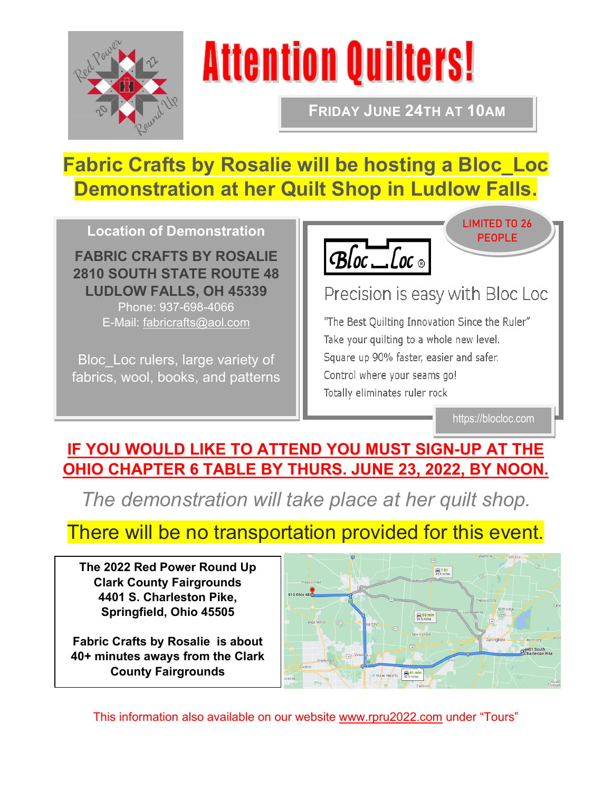

# **Attention Quilters!**

**FRIDAY JUNE 24TH AT 10AM**

## **Fabric Crafts by Rosalie will be hosting a Bloc\_Loc Demonstration at her Quilt Shop in Ludlow Falls.**

**Location of Demonstration**

**FABRIC CRAFTS BY ROSALIE 2810 SOUTH STATE ROUTE 48 LUDLOW FALLS, OH 45339**

Phone: 937-698-4066 E-Mail: [fabricrafts@aol.com](mailto:fabricrafts@aol.com)

Bloc\_Loc rulers, large variety of fabrics, wool, books, and patterns



### Precision is easy with Bloc Loc

"The Best Quilting Innovation Since the Ruler" Take your quilting to a whole new level. Square up 90% faster, easier and safer. Control where your seams go! Totally eliminates ruler rock

https://blocloc.com

LIMITED TO 26 PEOPLE

### **IF YOU WOULD LIKE TO ATTEND YOU MUST SIGN-UP AT THE OHIO CHAPTER 6 TABLE BY THURS. JUNE 23, 2022, BY NOON.**

*The demonstration will take place at her quilt shop.*

### There will be no transportation provided for this event.

**The 2022 Red Power Round Up Clark County Fairgrounds 4401 S. Charleston Pike, Springfield, Ohio 45505**

**Fabric Crafts by Rosalie is about 40+ minutes aways from the Clark County Fairgrounds**



This information also available on our website [www.rpru2022.com](http://www.rpru2022.com/) under "Tours"